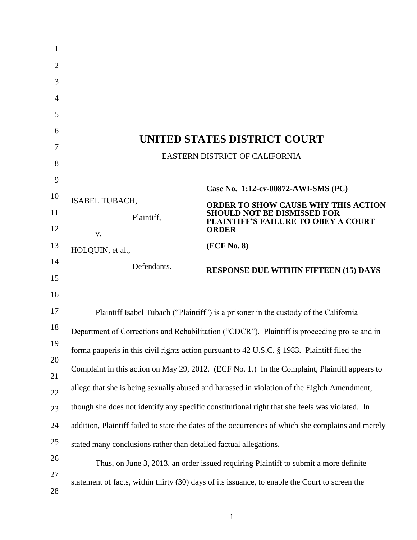| 1              |                                                                                                    |                                                                           |  |
|----------------|----------------------------------------------------------------------------------------------------|---------------------------------------------------------------------------|--|
| $\overline{2}$ |                                                                                                    |                                                                           |  |
| 3              |                                                                                                    |                                                                           |  |
| 4              |                                                                                                    |                                                                           |  |
| 5              |                                                                                                    |                                                                           |  |
| 6              | UNITED STATES DISTRICT COURT                                                                       |                                                                           |  |
| 7              | EASTERN DISTRICT OF CALIFORNIA                                                                     |                                                                           |  |
| 8              |                                                                                                    |                                                                           |  |
| 9              |                                                                                                    | Case No. 1:12-cv-00872-AWI-SMS (PC)                                       |  |
| 10<br>11       | <b>ISABEL TUBACH,</b>                                                                              | ORDER TO SHOW CAUSE WHY THIS ACTION<br><b>SHOULD NOT BE DISMISSED FOR</b> |  |
| 12             | Plaintiff,                                                                                         | <b>PLAINTIFF'S FAILURE TO OBEY A COURT</b><br><b>ORDER</b>                |  |
| 13             | V.                                                                                                 | (ECF No. 8)                                                               |  |
| 14             | HOLQUIN, et al.,                                                                                   |                                                                           |  |
| 15             | Defendants.                                                                                        | <b>RESPONSE DUE WITHIN FIFTEEN (15) DAYS</b>                              |  |
| 16             |                                                                                                    |                                                                           |  |
| 17             | Plaintiff Isabel Tubach ("Plaintiff") is a prisoner in the custody of the California               |                                                                           |  |
| 18             | Department of Corrections and Rehabilitation ("CDCR"). Plaintiff is proceeding pro se and in       |                                                                           |  |
| 19             | forma pauperis in this civil rights action pursuant to 42 U.S.C. § 1983. Plaintiff filed the       |                                                                           |  |
| 20             | Complaint in this action on May 29, 2012. (ECF No. 1.) In the Complaint, Plaintiff appears to      |                                                                           |  |
| 21             | allege that she is being sexually abused and harassed in violation of the Eighth Amendment,        |                                                                           |  |
| 22<br>23       | though she does not identify any specific constitutional right that she feels was violated. In     |                                                                           |  |
| 24             |                                                                                                    |                                                                           |  |
| 25             | addition, Plaintiff failed to state the dates of the occurrences of which she complains and merely |                                                                           |  |
| 26             | stated many conclusions rather than detailed factual allegations.                                  |                                                                           |  |
| 27             | Thus, on June 3, 2013, an order issued requiring Plaintiff to submit a more definite               |                                                                           |  |
| $28\,$         | statement of facts, within thirty (30) days of its issuance, to enable the Court to screen the     |                                                                           |  |
|                |                                                                                                    |                                                                           |  |
|                |                                                                                                    | $\mathbf{1}$                                                              |  |